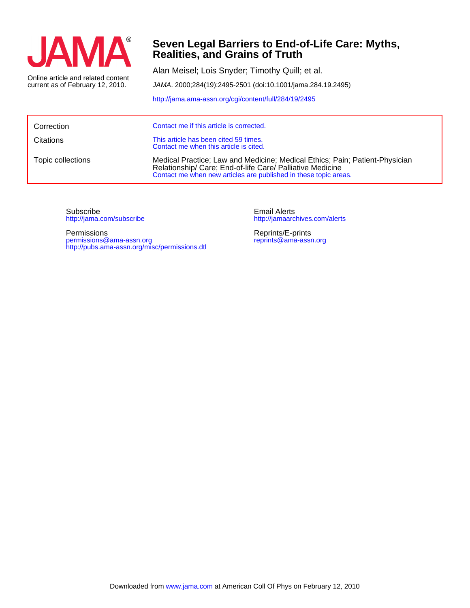

current as of February 12, 2010.

# **Realities, and Grains of Truth Seven Legal Barriers to End-of-Life Care: Myths,**

Alan Meisel; Lois Snyder; Timothy Quill; et al.

JAMA. 2000;284(19):2495-2501 (doi:10.1001/jama.284.19.2495)

<http://jama.ama-assn.org/cgi/content/full/284/19/2495>

| Correction        | Contact me if this article is corrected.                                                                                                                                                                     |
|-------------------|--------------------------------------------------------------------------------------------------------------------------------------------------------------------------------------------------------------|
| Citations         | This article has been cited 59 times.<br>Contact me when this article is cited.                                                                                                                              |
| Topic collections | Medical Practice; Law and Medicine; Medical Ethics; Pain; Patient-Physician<br>Relationship/ Care; End-of-life Care/ Palliative Medicine<br>Contact me when new articles are published in these topic areas. |

<http://jama.com/subscribe> Subscribe

<http://jamaarchives.com/alerts> Email Alerts

[reprints@ama-assn.org](mailto:reprints@ama-assn.org) Reprints/E-prints

<http://pubs.ama-assn.org/misc/permissions.dtl> permissions@ama-assn.org Permissions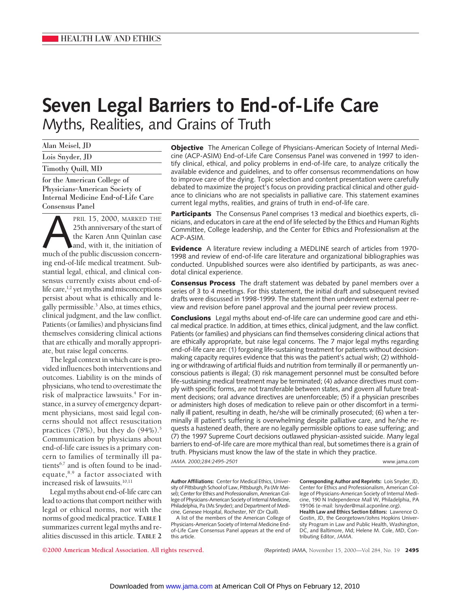ing end-of-life medical treatment. Substantial legal, ethical, and clinical consensus currently exists about end-oflife care, $^{1,2}$  yet myths and misconceptions persist about what is ethically and legally permissible.3 Also, at times ethics, clinical judgment, and the law conflict. Patients (or families) and physicians find themselves considering clinical actions that are ethically and morally appropri-

ate, but raise legal concerns.

increased risk of lawsuits.<sup>10,11</sup>

Legal myths about end-of-life care can lead to actions that comport neither with legal or ethical norms, nor with the norms of good medical practice.**TABLE 1** summarizes current legal myths and realities discussed in this article. **TABLE 2**

The legal context in which care is provided influences both interventions and outcomes. Liability is on the minds of physicians, who tend to overestimate the risk of malpractice lawsuits.<sup>4</sup> For instance, in a survey of emergency department physicians, most said legal concerns should not affect resuscitation practices  $(78%)$ , but they do  $(94%)$ .<sup>5</sup> Communication by physicians about end-of-life care issues is a primary concern to families of terminally ill patients<sup>6,7</sup> and is often found to be inadequate,8,9 a factor associated with

# **Seven Legal Barriers to End-of-Life Care** Myths, Realities, and Grains of Truth

| Alan Meisel, JD                                                                                                        | <b>Objective</b> The American College of Physicians-American Society of Internal Medi-<br>cine (ACP-ASIM) End-of-Life Care Consensus Panel was convened in 1997 to iden-                                                                                                                                                                               |  |
|------------------------------------------------------------------------------------------------------------------------|--------------------------------------------------------------------------------------------------------------------------------------------------------------------------------------------------------------------------------------------------------------------------------------------------------------------------------------------------------|--|
| Lois Snyder, JD                                                                                                        |                                                                                                                                                                                                                                                                                                                                                        |  |
| Timothy Quill, MD                                                                                                      | tify clinical, ethical, and policy problems in end-of-life care, to analyze critically the<br>available evidence and guidelines, and to offer consensus recommendations on how                                                                                                                                                                         |  |
| for the American College of<br>Physicians-American Society of<br>Internal Medicine End-of-Life Care<br>Consensus Panel | to improve care of the dying. Topic selection and content presentation were carefully<br>debated to maximize the project's focus on providing practical clinical and other guid-<br>ance to clinicians who are not specialists in palliative care. This statement examines<br>current legal myths, realities, and grains of truth in end-of-life care. |  |
| PRIL 15, 2000, MARKED THE<br>25th anniversary of the start of<br>the Karen Ann Quinlan case                            | <b>Participants</b> The Consensus Panel comprises 13 medical and bioethics experts, cli-<br>nicians, and educators in care at the end of life selected by the Ethics and Human Rights<br>Committee, College leadership, and the Center for Ethics and Professionalism at the<br>ACP-ASIM.                                                              |  |
| and, with it, the initiation of<br>much of the public discussion concern-                                              | Evidence A literature review including a MEDLINE search of articles from 1970-<br>1998 and review of end-of-life care literature and organizational bibliographies was                                                                                                                                                                                 |  |

**Evidence** A literature review including a MEDLINE search of articles from 1970- 1998 and review of end-of-life care literature and organizational bibliographies was conducted. Unpublished sources were also identified by participants, as was anecdotal clinical experience.

**Consensus Process** The draft statement was debated by panel members over a series of 3 to 4 meetings. For this statement, the initial draft and subsequent revised drafts were discussed in 1998-1999. The statement then underwent external peer review and revision before panel approval and the journal peer review process.

**Conclusions** Legal myths about end-of-life care can undermine good care and ethical medical practice. In addition, at times ethics, clinical judgment, and the law conflict. Patients (or families) and physicians can find themselves considering clinical actions that are ethically appropriate, but raise legal concerns. The 7 major legal myths regarding end-of-life care are: (1) forgoing life-sustaining treatment for patients without decisionmaking capacity requires evidence that this was the patient's actual wish; (2) withholding or withdrawing of artificial fluids and nutrition from terminally ill or permanently unconscious patients is illegal; (3) risk management personnel must be consulted before life-sustaining medical treatment may be terminated; (4) advance directives must comply with specific forms, are not transferable between states, and govern all future treatment decisions; oral advance directives are unenforceable; (5) if a physician prescribes or administers high doses of medication to relieve pain or other discomfort in a terminally ill patient, resulting in death, he/she will be criminally prosecuted; (6) when a terminally ill patient's suffering is overwhelming despite palliative care, and he/she requests a hastened death, there are no legally permissible options to ease suffering; and (7) the 1997 Supreme Court decisions outlawed physician-assisted suicide. Many legal barriers to end-of-life care are more mythical than real, but sometimes there is a grain of truth. Physicians must know the law of the state in which they practice.

*JAMA. 2000;284:2495-2501* www.jama.com

**Author Affiliations:** Center for Medical Ethics, University of Pittsburgh School of Law, Pittsburgh, Pa (Mr Meisel); Center for Ethics and Professionalism, American College of Physicians-American Society of Internal Medicine, Philadelphia, Pa (Ms Snyder); and Department of Medicine, Genesee Hospital, Rochester, NY (Dr Quill).

A list of the members of the American College of Physicians-American Society of Internal Medicine Endof-Life Care Consensus Panel appears at the end of this article.

**Corresponding Author and Reprints:** Lois Snyder, JD, Center for Ethics and Professionalism, American College of Physicians-American Society of Internal Medicine, 190 N Independence Mall W, Philadelphia, PA 19106 (e-mail: lsnyder@mail.acponline.org).

**Health Law and Ethics Section Editors:** Lawrence O. Gostin, JD, the Georgetown/Johns Hopkins University Program in Law and Public Health, Washington, DC, and Baltimore, Md; Helene M. Cole, MD, Contributing Editor, *JAMA*.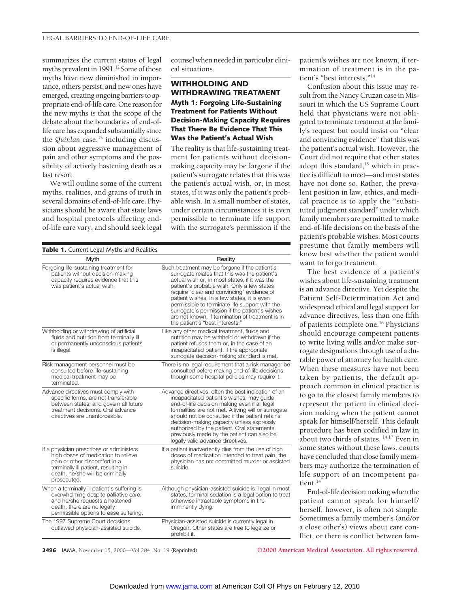#### LEGAL BARRIERS TO END-OF-LIFE CARE

summarizes the current status of legal myths prevalent in 1991.<sup>12</sup> Some of those myths have now diminished in importance, others persist, and new ones have emerged, creating ongoing barriers to appropriate end-of-life care. One reason for the new myths is that the scope of the debate about the boundaries of end-oflife care has expanded substantially since the *Quinlan* case,<sup>13</sup> including discussion about aggressive management of pain and other symptoms and the possibility of actively hastening death as a last resort.

We will outline some of the current myths, realities, and grains of truth in several domains of end-of-life care. Physicians should be aware that state laws and hospital protocols affecting endof-life care vary, and should seek legal

counsel when needed in particular clinical situations.

# **WITHHOLDING AND WITHDRAWING TREATMENT Myth 1: Forgoing Life-Sustaining Treatment for Patients Without Decision-Making Capacity Requires That There Be Evidence That This Was the Patient's Actual Wish**

The reality is that life-sustaining treatment for patients without decisionmaking capacity may be forgone if the patient's surrogate relates that this was the patient's actual wish, or, in most states, if it was only the patient's probable wish. In a small number of states, under certain circumstances it is even permissible to terminate life support with the surrogate's permission if the

| Table 1. Current Legal Myths and Realities                                                                                                                                                                  |                                                                                                                                                                                                                                                                                                                                                                                                                                                                                        |  |
|-------------------------------------------------------------------------------------------------------------------------------------------------------------------------------------------------------------|----------------------------------------------------------------------------------------------------------------------------------------------------------------------------------------------------------------------------------------------------------------------------------------------------------------------------------------------------------------------------------------------------------------------------------------------------------------------------------------|--|
| Myth                                                                                                                                                                                                        | Reality                                                                                                                                                                                                                                                                                                                                                                                                                                                                                |  |
| Forgoing life-sustaining treatment for<br>patients without decision-making<br>capacity requires evidence that this<br>was patient's actual wish.                                                            | Such treatment may be forgone if the patient's<br>surrogate relates that this was the patient's<br>actual wish or, in most states, if it was the<br>patient's probable wish. Only a few states<br>require "clear and convincing" evidence of<br>patient wishes. In a few states, it is even<br>permissible to terminate life support with the<br>surrogate's permission if the patient's wishes<br>are not known, if termination of treatment is in<br>the patient's "best interests." |  |
| Withholding or withdrawing of artificial<br>fluids and nutrition from terminally ill<br>or permanently unconscious patients<br>is illegal.                                                                  | Like any other medical treatment, fluids and<br>nutrition may be withheld or withdrawn if the<br>patient refuses them or, in the case of an<br>incapacitated patient, if the appropriate<br>surrogate decision-making standard is met.                                                                                                                                                                                                                                                 |  |
| Risk management personnel must be<br>consulted before life-sustaining<br>medical treatment may be<br>terminated.                                                                                            | There is no legal requirement that a risk manager be<br>consulted before making end-of-life decisions<br>though some hospital policies may require it.                                                                                                                                                                                                                                                                                                                                 |  |
| Advance directives must comply with<br>specific forms, are not transferable<br>between states, and govern all future<br>treatment decisions. Oral advance<br>directives are unenforceable.                  | Advance directives, often the best indication of an<br>incapacitated patient's wishes, may quide<br>end-of-life decision making even if all legal<br>formalities are not met. A living will or surrogate<br>should not be consulted if the patient retains<br>decision-making capacity unless expressly<br>authorized by the patient. Oral statements<br>previously made by the patient can also be<br>legally valid advance directives.                                               |  |
| If a physician prescribes or administers<br>high doses of medication to relieve<br>pain or other discomfort in a<br>terminally ill patient, resulting in<br>death, he/she will be criminally<br>prosecuted. | If a patient inadvertently dies from the use of high<br>doses of medication intended to treat pain, the<br>physician has not committed murder or assisted<br>suicide.                                                                                                                                                                                                                                                                                                                  |  |
| When a terminally ill patient's suffering is<br>overwhelming despite palliative care,<br>and he/she requests a hastened<br>death, there are no legally<br>permissible options to ease suffering.            | Although physician-assisted suicide is illegal in most<br>states, terminal sedation is a legal option to treat<br>otherwise intractable symptoms in the<br>imminently dying.                                                                                                                                                                                                                                                                                                           |  |
| The 1997 Supreme Court decisions<br>outlawed physician-assisted suicide.                                                                                                                                    | Physician-assisted suicide is currently legal in<br>Oregon. Other states are free to legalize or<br>prohibit it.                                                                                                                                                                                                                                                                                                                                                                       |  |

patient's wishes are not known, if termination of treatment is in the patient's "best interests."14

Confusion about this issue may result from the Nancy Cruzan case in Missouri in which the US Supreme Court held that physicians were not obligated to terminate treatment at the family's request but could insist on "clear and convincing evidence" that this was the patient's actual wish. However, the Court did not require that other states adopt this standard,<sup>15</sup> which in practice is difficult to meet—and most states have not done so. Rather, the prevalent position in law, ethics, and medical practice is to apply the "substituted judgment standard" under which family members are permitted to make end-of-life decisions on the basis of the patient's probable wishes. Most courts presume that family members will know best whether the patient would want to forgo treatment.

The best evidence of a patient's wishes about life-sustaining treatment is an advance directive. Yet despite the Patient Self-Determination Act and widespread ethical and legal support for advance directives, less than one fifth of patients complete one.16 Physicians should encourage competent patients to write living wills and/or make surrogate designations through use of a durable power of attorney for health care. When these measures have not been taken by patients, the default approach common in clinical practice is to go to the closest family members to represent the patient in clinical decision making when the patient cannot speak for himself/herself. This default procedure has been codified in law in about two thirds of states.<sup>14,17</sup> Even in some states without these laws, courts have concluded that close family members may authorize the termination of life support of an incompetent patient.<sup>14</sup>

End-of-life decision making when the patient cannot speak for himself/ herself, however, is often not simple. Sometimes a family member's (and/or a close other's) views about care conflict, or there is conflict between fam-

**2496** JAMA, November 15, 2000—Vol 284, No. 19 (Reprinted) **©2000 American Medical Association. All rights reserved.**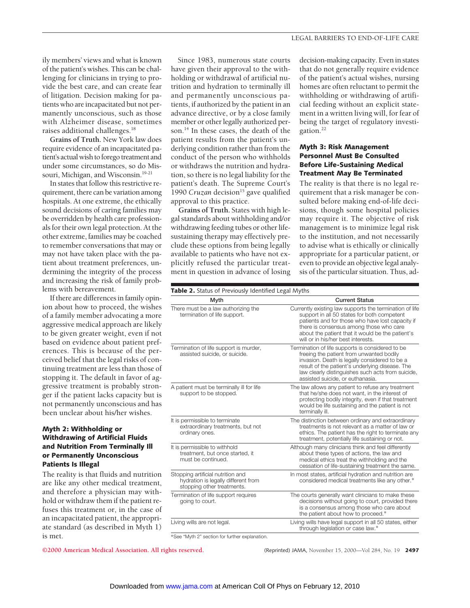#### LEGAL BARRIERS TO END-OF-LIFE CARE

ily members' views and what is known of the patient's wishes. This can be challenging for clinicians in trying to provide the best care, and can create fear of litigation. Decision making for patients who are incapacitated but not permanently unconscious, such as those with Alzheimer disease, sometimes raises additional challenges.<sup>18</sup>

**Grains of Truth.** New York law does require evidence of an incapacitated patient's actual wish to forego treatment and under some circumstances, so do Missouri, Michigan, and Wisconsin.<sup>19-21</sup>

In states that follow this restrictive requirement, there can be variation among hospitals. At one extreme, the ethically sound decisions of caring families may be overridden by health care professionals for their own legal protection. At the other extreme, families may be coached to remember conversations that may or may not have taken place with the patient about treatment preferences, undermining the integrity of the process and increasing the risk of family problems with bereavement.

If there are differences in family opinion about how to proceed, the wishes of a family member advocating a more aggressive medical approach are likely to be given greater weight, even if not based on evidence about patient preferences. This is because of the perceived belief that the legal risks of continuing treatment are less than those of stopping it. The default in favor of aggressive treatment is probably stronger if the patient lacks capacity but is not permanently unconscious and has been unclear about his/her wishes.

## **Myth 2: Withholding or Withdrawing of Artificial Fluids and Nutrition From Terminally Ill or Permanently Unconscious Patients Is Illegal**

The reality is that fluids and nutrition are like any other medical treatment, and therefore a physician may withhold or withdraw them if the patient refuses this treatment or, in the case of an incapacitated patient, the appropriate standard (as described in Myth 1) is met.

Since 1983, numerous state courts have given their approval to the withholding or withdrawal of artificial nutrition and hydration to terminally ill and permanently unconscious patients, if authorized by the patient in an advance directive, or by a close family member or other legally authorized person.<sup>14</sup> In these cases, the death of the patient results from the patient's underlying condition rather than from the conduct of the person who withholds or withdraws the nutrition and hydration, so there is no legal liability for the patient's death. The Supreme Court's 1990 *Cruzan* decision<sup>15</sup> gave qualified approval to this practice.

**Grains of Truth.** States with high legal standards about withholding and/or withdrawing feeding tubes or other lifesustaining therapy may effectively preclude these options from being legally available to patients who have not explicitly refused the particular treatment in question in advance of losing

decision-making capacity. Even in states that do not generally require evidence of the patient's actual wishes, nursing homes are often reluctant to permit the withholding or withdrawing of artificial feeding without an explicit statement in a written living will, for fear of being the target of regulatory investigation.<sup>22</sup>

## **Myth 3: Risk Management Personnel Must Be Consulted Before Life-Sustaining Medical Treatment May Be Terminated**

The reality is that there is no legal requirement that a risk manager be consulted before making end-of-life decisions, though some hospital policies may require it. The objective of risk management is to minimize legal risk to the institution, and not necessarily to advise what is ethically or clinically appropriate for a particular patient, or even to provide an objective legal analysis of the particular situation. Thus, ad-

| Table 2. Status of Previously Identified Legal Myths                                                   |                                                                                                                                                                                                                                                                                                 |  |
|--------------------------------------------------------------------------------------------------------|-------------------------------------------------------------------------------------------------------------------------------------------------------------------------------------------------------------------------------------------------------------------------------------------------|--|
| Myth                                                                                                   | <b>Current Status</b>                                                                                                                                                                                                                                                                           |  |
| There must be a law authorizing the<br>termination of life support.                                    | Currently existing law supports the termination of life<br>support in all 50 states for both competent<br>patients and for those who have lost capacity if<br>there is consensus among those who care<br>about the patient that it would be the patient's<br>will or in his/her best interests. |  |
| Termination of life support is murder,<br>assisted suicide, or suicide.                                | Termination of life supports is considered to be<br>freeing the patient from unwanted bodily<br>invasion. Death is legally considered to be a<br>result of the patient's underlying disease. The<br>law clearly distinguishes such acts from suicide,<br>assisted suicide, or euthanasia.       |  |
| A patient must be terminally ill for life<br>support to be stopped.                                    | The law allows any patient to refuse any treatment<br>that he/she does not want, in the interest of<br>protecting bodily integrity, even if that treatment<br>would be life sustaining and the patient is not<br>terminally ill.                                                                |  |
| It is permissible to terminate<br>extraordinary treatments, but not<br>ordinary ones.                  | The distinction between ordinary and extraordinary<br>treatments is not relevant as a matter of law or<br>ethics. The patient has the right to terminate any<br>treatment, potentially life sustaining or not.                                                                                  |  |
| It is permissible to withhold<br>treatment, but once started, it<br>must be continued.                 | Although many clinicians think and feel differently<br>about these types of actions, the law and<br>medical ethics treat the withholding and the<br>cessation of life-sustaining treatment the same.                                                                                            |  |
| Stopping artificial nutrition and<br>hydration is legally different from<br>stopping other treatments. | In most states, artificial hydration and nutrition are<br>considered medical treatments like any other.*                                                                                                                                                                                        |  |
| Termination of life support requires<br>going to court.                                                | The courts generally want clinicians to make these<br>decisions without going to court, provided there<br>is a consensus among those who care about<br>the patient about how to proceed.*                                                                                                       |  |
| Living wills are not legal.                                                                            | Living wills have legal support in all 50 states, either<br>through legislation or case law.*                                                                                                                                                                                                   |  |

\*See "Myth 2" section for further explanation.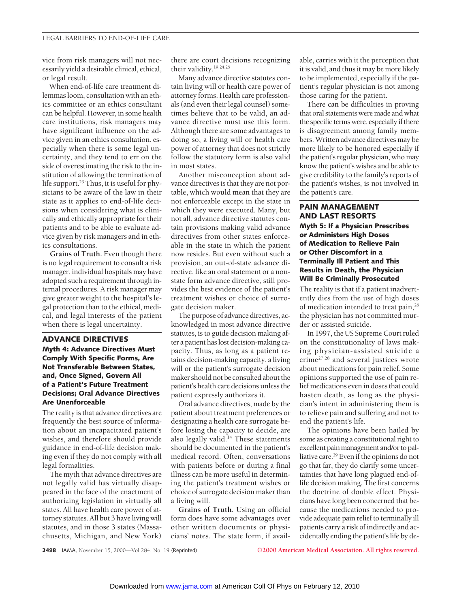vice from risk managers will not necessarily yield a desirable clinical, ethical, or legal result.

When end-of-life care treatment dilemmas loom, consultation with an ethics committee or an ethics consultant can be helpful. However, in some health care institutions, risk managers may have significant influence on the advice given in an ethics consultation, especially when there is some legal uncertainty, and they tend to err on the side of overestimating the risk to the institution of allowing the termination of life support.<sup>23</sup> Thus, it is useful for physicians to be aware of the law in their state as it applies to end-of-life decisions when considering what is clinically and ethically appropriate for their patients and to be able to evaluate advice given by risk managers and in ethics consultations.

**Grains of Truth.** Even though there is no legal requirement to consult a risk manager, individual hospitals may have adopted such a requirement through internal procedures. A risk manager may give greater weight to the hospital's legal protection than to the ethical, medical, and legal interests of the patient when there is legal uncertainty.

#### **ADVANCE DIRECTIVES**

**Myth 4: Advance Directives Must Comply With Specific Forms, Are Not Transferable Between States, and, Once Signed, Govern All of a Patient's Future Treatment Decisions; Oral Advance Directives Are Unenforceable**

The reality is that advance directives are frequently the best source of information about an incapacitated patient's wishes, and therefore should provide guidance in end-of-life decision making even if they do not comply with all legal formalities.

The myth that advance directives are not legally valid has virtually disappeared in the face of the enactment of authorizing legislation in virtually all states. All have health care power of attorney statutes. All but 3 have living will statutes, and in those 3 states (Massachusetts, Michigan, and New York)

there are court decisions recognizing their validity.19,24,25

Many advance directive statutes contain living will or health care power of attorney forms. Health care professionals (and even their legal counsel) sometimes believe that to be valid, an advance directive must use this form. Although there are some advantages to doing so, a living will or health care power of attorney that does not strictly follow the statutory form is also valid in most states.

Another misconception about advance directives is that they are not portable, which would mean that they are not enforceable except in the state in which they were executed. Many, but not all, advance directive statutes contain provisions making valid advance directives from other states enforceable in the state in which the patient now resides. But even without such a provision, an out-of-state advance directive, like an oral statement or a nonstate form advance directive, still provides the best evidence of the patient's treatment wishes or choice of surrogate decision maker.

The purpose of advance directives, acknowledged in most advance directive statutes, is to guide decision making after a patient has lost decision-making capacity. Thus, as long as a patient retains decision-making capacity, a living will or the patient's surrogate decision maker should not be consulted about the patient's health care decisions unless the patient expressly authorizes it.

Oral advance directives, made by the patient about treatment preferences or designating a health care surrogate before losing the capacity to decide, are also legally valid. $14$  These statements should be documented in the patient's medical record. Often, conversations with patients before or during a final illness can be more useful in determining the patient's treatment wishes or choice of surrogate decision maker than a living will.

**Grains of Truth.** Using an official form does have some advantages over other written documents or physicians' notes. The state form, if available, carries with it the perception that it is valid, and thus it may be more likely to be implemented, especially if the patient's regular physician is not among those caring for the patient.

There can be difficulties in proving that oral statements were made and what the specific terms were, especially if there is disagreement among family members. Written advance directives may be more likely to be honored especially if the patient's regular physician, who may know the patient's wishes and be able to give credibility to the family's reports of the patient's wishes, is not involved in the patient's care.

# **PAIN MANAGEMENT AND LAST RESORTS Myth 5: If a Physician Prescribes or Administers High Doses of Medication to Relieve Pain or Other Discomfort in a Terminally Ill Patient and This Results in Death, the Physician Will Be Criminally Prosecuted**

The reality is that if a patient inadvertently dies from the use of high doses of medication intended to treat pain,<sup>26</sup> the physician has not committed murder or assisted suicide.

In 1997, the US Supreme Court ruled on the constitutionality of laws making physician-assisted suicide a crime27,28 and several justices wrote about medications for pain relief. Some opinions supported the use of pain relief medications even in doses that could hasten death, as long as the physician's intent in administering them is to relieve pain and suffering and not to end the patient's life.

The opinions have been hailed by some as creating a constitutional right to excellent pain management and/or to palliative care.29 Even if the opinions do not go that far, they do clarify some uncertainties that have long plagued end-oflife decision making. The first concerns the doctrine of double effect. Physicians have long been concerned that because the medications needed to provide adequate pain relief to terminally ill patients carry a risk of indirectly and accidentally ending the patient's life by de-

**2498** JAMA, November 15, 2000—Vol 284, No. 19 (Reprinted) **©2000 American Medical Association. All rights reserved.**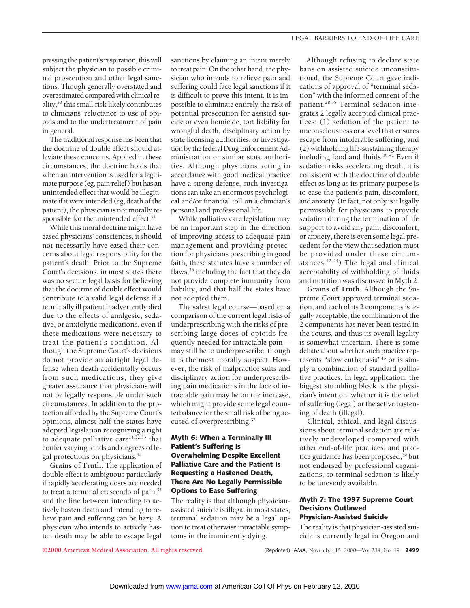pressing the patient's respiration, this will subject the physician to possible criminal prosecution and other legal sanctions. Though generally overstated and overestimated compared with clinical reality,30 this small risk likely contributes to clinicians' reluctance to use of opioids and to the undertreatment of pain in general.

The traditional response has been that the doctrine of double effect should alleviate these concerns. Applied in these circumstances, the doctrine holds that when an intervention is used for a legitimate purpose (eg, pain relief) but has an unintended effect that would be illegitimate if it were intended (eg, death of the patient), the physician is not morally responsible for the unintended effect.<sup>31</sup>

While this moral doctrine might have eased physicians' consciences, it should not necessarily have eased their concerns about legal responsibility for the patient's death. Prior to the Supreme Court's decisions, in most states there was no secure legal basis for believing that the doctrine of double effect would contribute to a valid legal defense if a terminally ill patient inadvertently died due to the effects of analgesic, sedative, or anxiolytic medications, even if these medications were necessary to treat the patient's condition. Although the Supreme Court's decisions do not provide an airtight legal defense when death accidentally occurs from such medications, they give greater assurance that physicians will not be legally responsible under such circumstances. In addition to the protection afforded by the Supreme Court's opinions, almost half the states have adopted legislation recognizing a right to adequate palliative care $14,32,33$  that confer varying kinds and degrees of legal protections on physicians.<sup>34</sup>

**Grains of Truth.** The application of double effect is ambiguous particularly if rapidly accelerating doses are needed to treat a terminal crescendo of pain,<sup>35</sup> and the line between intending to actively hasten death and intending to relieve pain and suffering can be hazy. A physician who intends to actively hasten death may be able to escape legal

sanctions by claiming an intent merely to treat pain. On the other hand, the physician who intends to relieve pain and suffering could face legal sanctions if it is difficult to prove this intent. It is impossible to eliminate entirely the risk of potential prosecution for assisted suicide or even homicide, tort liability for wrongful death, disciplinary action by state licensing authorities, or investigation by the federal Drug Enforcement Administration or similar state authorities. Although physicians acting in accordance with good medical practice have a strong defense, such investigations can take an enormous psychological and/or financial toll on a clinician's personal and professional life.

While palliative care legislation may be an important step in the direction of improving access to adequate pain management and providing protection for physicians prescribing in good faith, these statutes have a number of flaws,<sup>36</sup> including the fact that they do not provide complete immunity from liability, and that half the states have not adopted them.

The safest legal course—based on a comparison of the current legal risks of underprescribing with the risks of prescribing large doses of opioids frequently needed for intractable pain may still be to underprescribe, though it is the most morally suspect. However, the risk of malpractice suits and disciplinary action for underprescribing pain medications in the face of intractable pain may be on the increase, which might provide some legal counterbalance for the small risk of being accused of overprescribing.37

# **Myth 6: When a Terminally Ill Patient's Suffering Is Overwhelming Despite Excellent Palliative Care and the Patient Is Requesting a Hastened Death, There Are No Legally Permissible Options to Ease Suffering**

The reality is that although physicianassisted suicide is illegal in most states, terminal sedation may be a legal option to treat otherwise intractable symptoms in the imminently dying.

Although refusing to declare state bans on assisted suicide unconstitutional, the Supreme Court gave indications of approval of "terminal sedation" with the informed consent of the patient.28,38 Terminal sedation integrates 2 legally accepted clinical practices: (1) sedation of the patient to unconsciousness or a level that ensures escape from intolerable suffering, and (2) withholding life-sustaining therapy including food and fluids.39-41 Even if sedation risks accelerating death, it is consistent with the doctrine of double effect as long as its primary purpose is to ease the patient's pain, discomfort, and anxiety. (In fact, not only is it legally permissible for physicians to provide sedation during the termination of life support to avoid any pain, discomfort, or anxiety, there is even some legal precedent for the view that sedation must be provided under these circumstances.<sup>42-44</sup>) The legal and clinical acceptability of withholding of fluids and nutrition was discussed in Myth 2.

**Grains of Truth.** Although the Supreme Court approved terminal sedation, and each of its 2 components is legally acceptable, the combination of the 2 components has never been tested in the courts, and thus its overall legality is somewhat uncertain. There is some debate about whether such practice represents "slow euthanasia"<sup>45</sup> or is simply a combination of standard palliative practices. In legal application, the biggest stumbling block is the physician's intention: whether it is the relief of suffering (legal) or the active hastening of death (illegal).

Clinical, ethical, and legal discussions about terminal sedation are relatively undeveloped compared with other end-of-life practices, and practice guidance has been proposed,<sup>39</sup> but not endorsed by professional organizations, so terminal sedation is likely to be unevenly available.

#### **Myth 7: The 1997 Supreme Court Decisions Outlawed Physician-Assisted Suicide**

The reality is that physician-assisted suicide is currently legal in Oregon and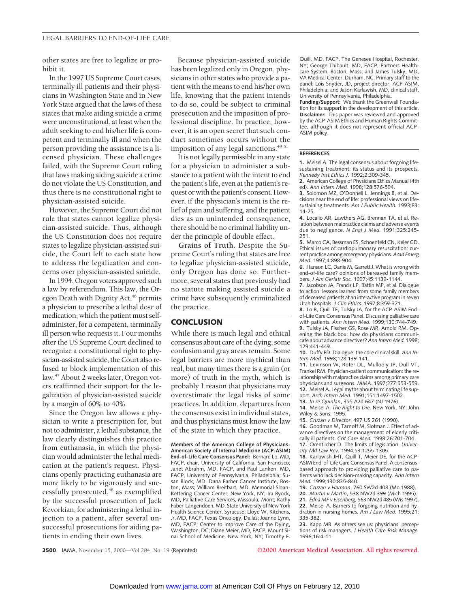other states are free to legalize or prohibit it.

In the 1997 US Supreme Court cases, terminally ill patients and their physicians in Washington State and in New York State argued that the laws of these states that make aiding suicide a crime were unconstitutional, at least when the adult seeking to end his/her life is competent and terminally ill and when the person providing the assistance is a licensed physician. These challenges failed, with the Supreme Court ruling that laws making aiding suicide a crime do not violate the US Constitution, and thus there is no constitutional right to physician-assisted suicide.

However, the Supreme Court did not rule that states cannot legalize physician-assisted suicide. Thus, although the US Constitution does not require states to legalize physician-assisted suicide, the Court left to each state how to address the legalization and concerns over physician-assisted suicide.

In 1994, Oregon voters approved such a law by referendum. This law, the Oregon Death with Dignity Act,<sup>46</sup> permits a physician to prescribe a lethal dose of medication, which the patient must selfadminister, for a competent, terminally ill person who requests it. Four months after the US Supreme Court declined to recognize a constitutional right to physician-assisted suicide, the Court also refused to block implementation of this law.47 About 2 weeks later, Oregon voters reaffirmed their support for the legalization of physician-assisted suicide by a margin of 60% to 40%.

Since the Oregon law allows a physician to write a prescription for, but not to administer, a lethal substance, the law clearly distinguishes this practice from euthanasia, in which the physician would administer the lethal medication at the patient's request. Physicians openly practicing euthanasia are more likely to be vigorously and successfully prosecuted,<sup>48</sup> as exemplified by the successful prosecution of Jack Kevorkian, for administering a lethal injection to a patient, after several unsuccessful prosecutions for aiding patients in ending their own lives.

Because physician-assisted suicide has been legalized only in Oregon, physicians in other states who provide a patient with the means to end his/her own life, knowing that the patient intends to do so, could be subject to criminal prosecution and the imposition of professional discipline. In practice, however, it is an open secret that such conduct sometimes occurs without the imposition of any legal sanctions.<sup>49-51</sup>

It is not legally permissible in any state for a physician to administer a substance to a patient with the intent to end the patient's life, even at the patient's request or with the patient's consent. However, if the physician's intent is the relief of pain and suffering, and the patient dies as an unintended consequence, there should be no criminal liability under the principle of double effect.

**Grains of Truth.** Despite the Supreme Court's ruling that states are free to legalize physician-assisted suicide, only Oregon has done so. Furthermore, several states that previously had no statute making assisted suicide a crime have subsequently criminalized the practice.

# **CONCLUSION**

While there is much legal and ethical consensus about care of the dying, some confusion and gray areas remain. Some legal barriers are more mythical than real, but many times there is a grain (or more) of truth in the myth, which is probably 1 reason that physicians may overestimate the legal risks of some practices. In addition, departures from the consensus exist in individual states, and thus physicians must know the law of the state in which they practice.

**Members of the American College of Physicians-American Society of Internal Medicine (ACP-ASIM) End-of-Life Care Consensus Panel:** Bernard Lo, MD, FACP, chair, University of California, San Francisco; Janet Abrahm, MD, FACP, and Paul Lanken, MD, FACP, University of Pennsylvania, Philadelphia; Susan Block, MD, Dana Farber Cancer Institute, Boston, Mass; William Breitbart, MD, Memorial Sloan-Kettering Cancer Center, New York, NY; Ira Byock, MD, Palliative Care Services, Missoula, Mont; Kathy Faber-Langendoen, MD, State University of New York Health Science Center, Syracuse; Lloyd W. Kitchens, Jr, MD, FACP, Texas Oncology, Dallas; Joanne Lynn, MD, FACP, Center to Improve Care of the Dying, Washington, DC; Diane Meier, MD, FACP, Mount Sinai School of Medicine, New York, NY; Timothy E. Quill, MD, FACP, The Genesee Hospital, Rochester, NY; George Thibault, MD, FACP, Partners Healthcare System, Boston, Mass; and James Tulsky, MD, VA Medical Center, Durham, NC. Primary staff to the panel: Lois Snyder, JD, project director, ACP-ASIM, Philadelphia; and Jason Karlawish, MD, clinical staff, University of Pennsylvania, Philadelphia.

**Funding/Support:** We thank the Greenwall Foundation for its support in the development of this article. **Disclaimer:** This paper was reviewed and approved by the ACP-ASIM Ethics and Human Rights Committee, although it does not represent official ACP-ASIM policy.

#### **REFERENCES**

**1.** Meisel A. The legal consensus about forgoing lifesustaining treatment: its status and its prospects. *Kennedy Inst Ethics J.* 1992;2:309-345.

**2.** American College of Physicians Ethics Manual (4th ed). *Ann Intern Med.* 1998;128:576-594.

**3.** Solomon MZ, O'Donnell L, Jennings B, et al. Decisions near the end of life: professional views on lifesustaining treatments. *Am J Public Health.* 1993;83: 14-25.

**4.** Localio AR, Lawthers AG, Brennan TA, et al. Relation between malpractice claims and adverse events due to negligence. *N Engl J Med.* 1991;325:245- 251.

**5.** Marco CA, Bessman ES, Schoenfeld CN, Keler GD. Ethical issues of cardiopulmonary resuscitation: current practice among emergency physicians.*Acad Emerg Med.* 1997;4:898-904.

**6.** Hanson LC, Danis M, Garrett J. What is wrong with end-of-life care? opinions of bereaved family members. *J Am Geriatr Soc.* 1997;45:1139-1144.

**7.** Jacobson JA, Francis LP, Battin MP, et al. Dialogue to action: lessons learned from some family members of deceased patients at an interactive program in seven Utah hospitals. *J Clin Ethics.* 1997;8:359-371.

**8.** Lo B, Quill TE, Tulsky JA, for the ACP-ASIM Endof-Life Care Consensus Panel. Discussing palliative care with patients. Ann Intern Med. 1999;130:744-749. **9.** Tulsky JA, Fischer GS, Rose MR, Arnold RM. Opening the black box: how do physicians communicate about advance directives? *Ann Intern Med.* 1998; 129:441-449.

**10.** Duffy FD. Dialogue: the core clinical skill. *Ann Intern Med.* 1998;128:139-141.

**11.** Levinson W, Roter DL, Mullooly JP, Dull VT, Frankel RM. Physician-patient communication: the relationship with malpractice claims among primary care physicians and surgeons. *JAMA.* 1997;277:553-559. **12.** Meisel A. Legal myths about terminating life support. *Arch Intern Med.* 1991;151:1497-1502.

**13.** *In re Quinlan*, 355 A2d 647 (NJ 1976).

**14.** Meisel A. *The Right to Die.* New York, NY: John Wiley & Sons; 1995.

**15.** *Cruzan v Director*, 497 US 261 (1990).

**16.** Goodman M, Tarnoff M, Slotman J. Effect of advance directives on the management of elderly critically ill patients. *Crit Care Med.* 1998;26:701-704. **17.** Orentlicher D. The limits of legislation. *Univer-*

*sity Md Law Rev.* 1994;53:1255-1305. **18.** Karlawish JHT, Quill T, Meier DE, for the ACP-ASIM End-of-Life Care Consensus Panel. A consensusbased approach to providing palliative care to patients who lack decision-making capacity. *Ann Intern Med.* 1999;130:835-840.

**19.** *Cruzan v Harmon*, 760 SW2d 408 (Mo 1988).

**20.** *Martin v Martin*, 538 NW2d 399 (Mich 1995).

**21.** *Edna MF v Eisenberg*, 563 NW2d 485 (Wis 1997).

**22.** Meisel A. Barriers to forgoing nutrition and hydration in nursing homes. *Am J Law Med.* 1995;21: 335-382.

**23.** Kapp MB. As others see us: physicians' perceptions of risk managers. *J Health Care Risk Manage.* 1996;16:4-11.

**2500** JAMA, November 15, 2000—Vol 284, No. 19 (Reprinted) **©2000 American Medical Association. All rights reserved.**